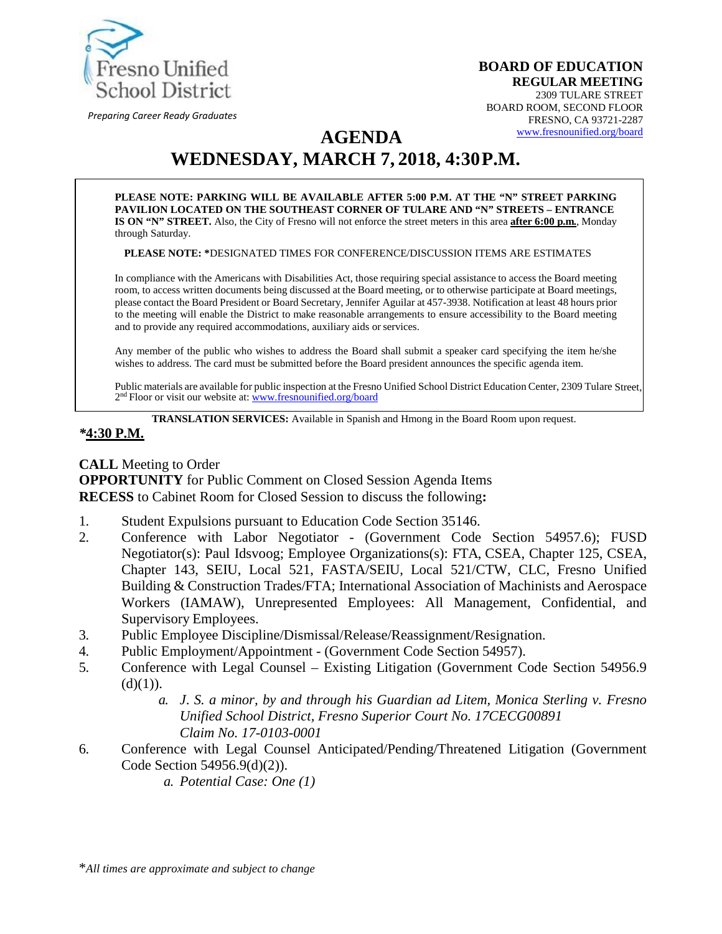

*Preparing Career Ready Graduates*

**BOARD OF EDUCATION REGULAR MEETING**  2309 TULARE STREET BOARD ROOM, SECOND FLOOR FRESNO, CA 93721-2287 [www.fresnounified.org/board](http://www.fresnounified.org/board)

# **AGENDA WEDNESDAY, MARCH 7, 2018, 4:30P.M.**

**PLEASE NOTE: PARKING WILL BE AVAILABLE AFTER 5:00 P.M. AT THE "N" STREET PARKING PAVILION LOCATED ON THE SOUTHEAST CORNER OF TULARE AND "N" STREETS – ENTRANCE IS ON "N" STREET.** Also, the City of Fresno will not enforce the street meters in this area **after 6:00 p.m.**, Monday through Saturday.

**PLEASE NOTE: \***DESIGNATED TIMES FOR CONFERENCE/DISCUSSION ITEMS ARE ESTIMATES

In compliance with the Americans with Disabilities Act, those requiring special assistance to access the Board meeting room, to access written documents being discussed at the Board meeting, or to otherwise participate at Board meetings, please contact the Board President or Board Secretary, Jennifer Aguilar at 457-3938. Notification at least 48 hours prior to the meeting will enable the District to make reasonable arrangements to ensure accessibility to the Board meeting and to provide any required accommodations, auxiliary aids orservices.

Any member of the public who wishes to address the Board shall submit a speaker card specifying the item he/she wishes to address. The card must be submitted before the Board president announces the specific agenda item.

Public materials are available for public inspection at the Fresno Unified School District Education Center, 2309 Tulare Street, 2<sup>nd</sup> Floor or visit our website at: **[www.fresnounified.org/board](http://www.fresnounified.org/board)** 

**TRANSLATION SERVICES:** Available in Spanish and Hmong in the Board Room upon request.

#### *\****4:30 P.M.**

**CALL** Meeting to Order **OPPORTUNITY** for Public Comment on Closed Session Agenda Items **RECESS** to Cabinet Room for Closed Session to discuss the following**:**

- 1. Student Expulsions pursuant to Education Code Section 35146.
- 2. Conference with Labor Negotiator (Government Code Section 54957.6); FUSD Negotiator(s): Paul Idsvoog; Employee Organizations(s): FTA, CSEA, Chapter 125, CSEA, Chapter 143, SEIU, Local 521, FASTA/SEIU, Local 521/CTW, CLC, Fresno Unified Building & Construction Trades/FTA; International Association of Machinists and Aerospace Workers (IAMAW), Unrepresented Employees: All Management, Confidential, and Supervisory Employees.
- 3. Public Employee Discipline/Dismissal/Release/Reassignment/Resignation.
- 4. Public Employment/Appointment (Government Code Section 54957).
- 5. Conference with Legal Counsel Existing Litigation (Government Code Section 54956.9  $(d)(1)$ ).
	- *a. J*. *S. a minor, by and through his Guardian ad Litem, Monica Sterling v. Fresno Unified School District, Fresno Superior Court No. 17CECG00891 Claim No. 17-0103-0001*
- 6. Conference with Legal Counsel Anticipated/Pending/Threatened Litigation (Government Code Section 54956.9(d)(2)).
	- *a. Potential Case: One (1)*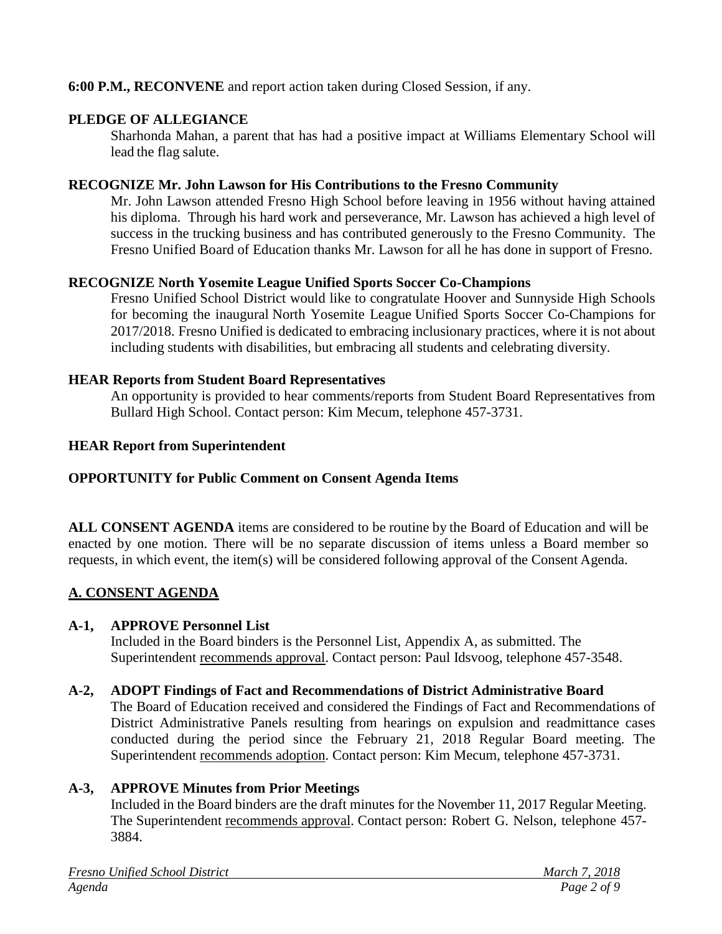### **6:00 P.M., RECONVENE** and report action taken during Closed Session, if any.

### **PLEDGE OF ALLEGIANCE**

Sharhonda Mahan, a parent that has had a positive impact at Williams Elementary School will lead the flag salute.

### **RECOGNIZE Mr. John Lawson for His Contributions to the Fresno Community**

Mr. John Lawson attended Fresno High School before leaving in 1956 without having attained his diploma. Through his hard work and perseverance, Mr. Lawson has achieved a high level of success in the trucking business and has contributed generously to the Fresno Community. The Fresno Unified Board of Education thanks Mr. Lawson for all he has done in support of Fresno.

#### **RECOGNIZE North Yosemite League Unified Sports Soccer Co-Champions**

Fresno Unified School District would like to congratulate Hoover and Sunnyside High Schools for becoming the inaugural North Yosemite League Unified Sports Soccer Co-Champions for 2017/2018. Fresno Unified is dedicated to embracing inclusionary practices, where it is not about including students with disabilities, but embracing all students and celebrating diversity.

#### **HEAR Reports from Student Board Representatives**

An opportunity is provided to hear comments/reports from Student Board Representatives from Bullard High School. Contact person: Kim Mecum, telephone 457-3731.

#### **HEAR Report from Superintendent**

#### **OPPORTUNITY for Public Comment on Consent Agenda Items**

**ALL CONSENT AGENDA** items are considered to be routine by the Board of Education and will be enacted by one motion. There will be no separate discussion of items unless a Board member so requests, in which event, the item(s) will be considered following approval of the Consent Agenda.

# **A. CONSENT AGENDA**

#### **A-1, APPROVE Personnel List**

Included in the Board binders is the Personnel List, Appendix A, as submitted. The Superintendent recommends approval. Contact person: Paul Idsvoog, telephone 457-3548.

#### **A-2, ADOPT Findings of Fact and Recommendations of District Administrative Board**

The Board of Education received and considered the Findings of Fact and Recommendations of District Administrative Panels resulting from hearings on expulsion and readmittance cases conducted during the period since the February 21, 2018 Regular Board meeting. The Superintendent recommends adoption. Contact person: Kim Mecum, telephone 457-3731.

# **A-3, APPROVE Minutes from Prior Meetings**

Included in the Board binders are the draft minutes for the November 11, 2017 Regular Meeting. The Superintendent recommends approval. Contact person: Robert G. Nelson, telephone 457- 3884.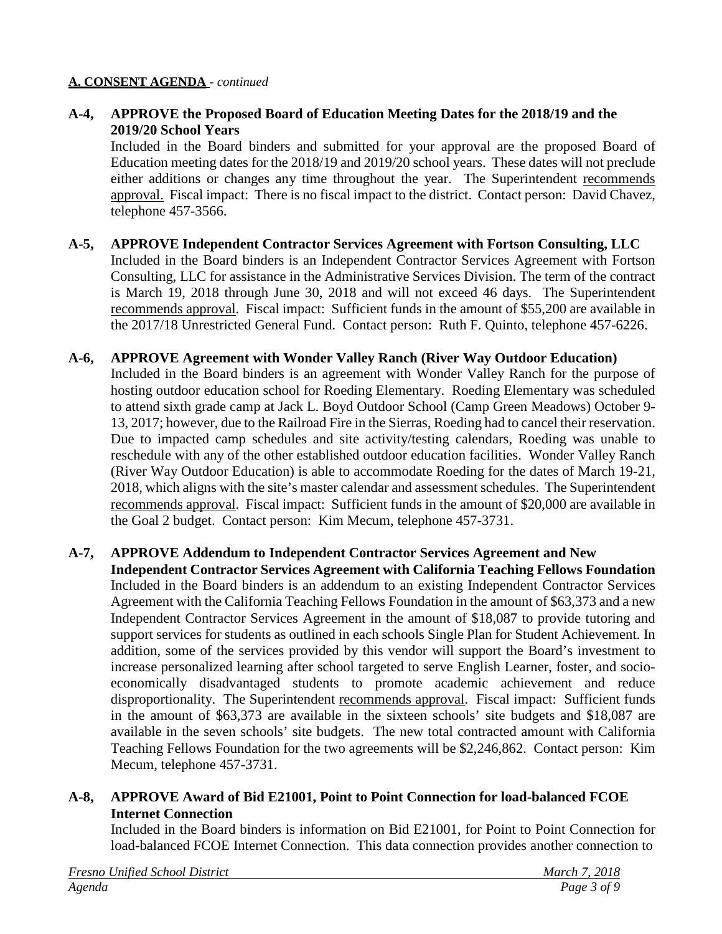**A-4, APPROVE the Proposed Board of Education Meeting Dates for the 2018/19 and the 2019/20 School Years**

Included in the Board binders and submitted for your approval are the proposed Board of Education meeting dates for the 2018/19 and 2019/20 school years. These dates will not preclude either additions or changes any time throughout the year. The Superintendent recommends approval. Fiscal impact: There is no fiscal impact to the district. Contact person: David Chavez, telephone 457-3566.

- **A-5, APPROVE Independent Contractor Services Agreement with Fortson Consulting, LLC** Included in the Board binders is an Independent Contractor Services Agreement with Fortson Consulting, LLC for assistance in the Administrative Services Division. The term of the contract is March 19, 2018 through June 30, 2018 and will not exceed 46 days. The Superintendent recommends approval. Fiscal impact: Sufficient funds in the amount of \$55,200 are available in the 2017/18 Unrestricted General Fund. Contact person: Ruth F. Quinto, telephone 457-6226.
- **A-6, APPROVE Agreement with Wonder Valley Ranch (River Way Outdoor Education)** Included in the Board binders is an agreement with Wonder Valley Ranch for the purpose of hosting outdoor education school for Roeding Elementary. Roeding Elementary was scheduled to attend sixth grade camp at Jack L. Boyd Outdoor School (Camp Green Meadows) October 9- 13, 2017; however, due to the Railroad Fire in the Sierras, Roeding had to cancel their reservation. Due to impacted camp schedules and site activity/testing calendars, Roeding was unable to reschedule with any of the other established outdoor education facilities. Wonder Valley Ranch (River Way Outdoor Education) is able to accommodate Roeding for the dates of March 19-21, 2018, which aligns with the site's master calendar and assessment schedules. The Superintendent recommends approval. Fiscal impact: Sufficient funds in the amount of \$20,000 are available in the Goal 2 budget. Contact person: Kim Mecum, telephone 457-3731.

### **A-7, APPROVE Addendum to Independent Contractor Services Agreement and New Independent Contractor Services Agreement with California Teaching Fellows Foundation** Included in the Board binders is an addendum to an existing Independent Contractor Services Agreement with the California Teaching Fellows Foundation in the amount of \$63,373 and a new Independent Contractor Services Agreement in the amount of \$18,087 to provide tutoring and support services for students as outlined in each schools Single Plan for Student Achievement. In addition, some of the services provided by this vendor will support the Board's investment to increase personalized learning after school targeted to serve English Learner, foster, and socioeconomically disadvantaged students to promote academic achievement and reduce disproportionality. The Superintendent recommends approval. Fiscal impact: Sufficient funds in the amount of \$63,373 are available in the sixteen schools' site budgets and \$18,087 are available in the seven schools' site budgets. The new total contracted amount with California Teaching Fellows Foundation for the two agreements will be \$2,246,862. Contact person: Kim Mecum, telephone 457-3731.

### **A-8, APPROVE Award of Bid E21001, Point to Point Connection for load-balanced FCOE Internet Connection**

Included in the Board binders is information on Bid E21001, for Point to Point Connection for load-balanced FCOE Internet Connection. This data connection provides another connection to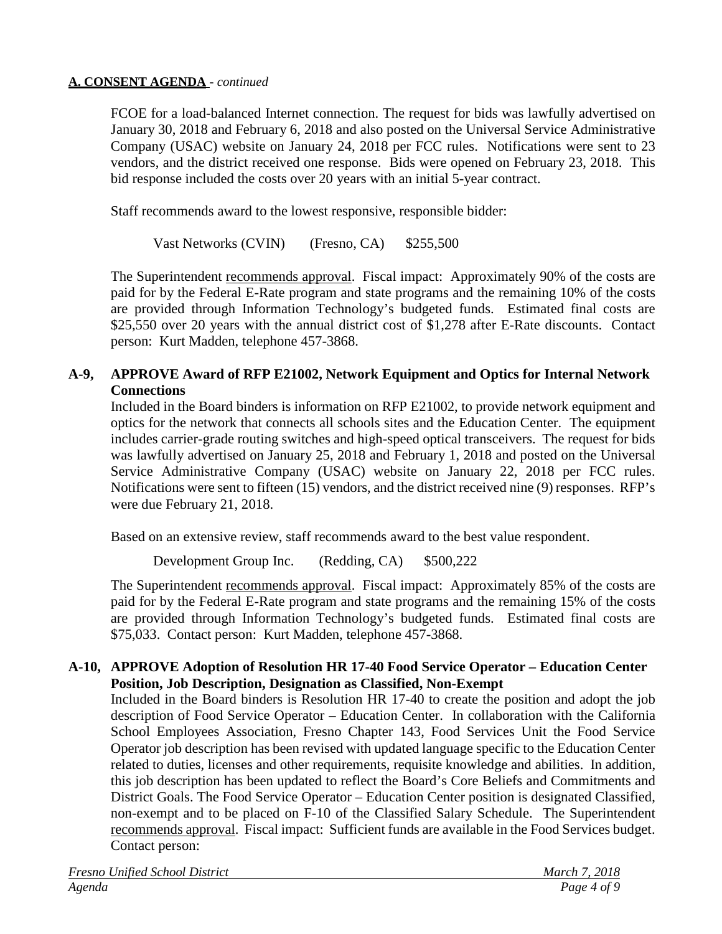FCOE for a load-balanced Internet connection. The request for bids was lawfully advertised on January 30, 2018 and February 6, 2018 and also posted on the Universal Service Administrative Company (USAC) website on January 24, 2018 per FCC rules. Notifications were sent to 23 vendors, and the district received one response. Bids were opened on February 23, 2018. This bid response included the costs over 20 years with an initial 5-year contract.

Staff recommends award to the lowest responsive, responsible bidder:

Vast Networks (CVIN) (Fresno, CA) \$255,500

The Superintendent recommends approval. Fiscal impact: Approximately 90% of the costs are paid for by the Federal E-Rate program and state programs and the remaining 10% of the costs are provided through Information Technology's budgeted funds. Estimated final costs are \$25,550 over 20 years with the annual district cost of \$1,278 after E-Rate discounts. Contact person: Kurt Madden, telephone 457-3868.

# **A-9, APPROVE Award of RFP E21002, Network Equipment and Optics for Internal Network Connections**

Included in the Board binders is information on RFP E21002, to provide network equipment and optics for the network that connects all schools sites and the Education Center. The equipment includes carrier-grade routing switches and high-speed optical transceivers. The request for bids was lawfully advertised on January 25, 2018 and February 1, 2018 and posted on the Universal Service Administrative Company (USAC) website on January 22, 2018 per FCC rules. Notifications were sent to fifteen (15) vendors, and the district received nine (9) responses. RFP's were due February 21, 2018.

Based on an extensive review, staff recommends award to the best value respondent.

Development Group Inc. (Redding, CA) \$500,222

The Superintendent recommends approval. Fiscal impact: Approximately 85% of the costs are paid for by the Federal E-Rate program and state programs and the remaining 15% of the costs are provided through Information Technology's budgeted funds. Estimated final costs are \$75,033. Contact person: Kurt Madden, telephone 457-3868.

#### **A-10, APPROVE Adoption of Resolution HR 17-40 Food Service Operator – Education Center Position, Job Description, Designation as Classified, Non-Exempt**

Included in the Board binders is Resolution HR 17-40 to create the position and adopt the job description of Food Service Operator – Education Center. In collaboration with the California School Employees Association, Fresno Chapter 143, Food Services Unit the Food Service Operator job description has been revised with updated language specific to the Education Center related to duties, licenses and other requirements, requisite knowledge and abilities. In addition, this job description has been updated to reflect the Board's Core Beliefs and Commitments and District Goals. The Food Service Operator – Education Center position is designated Classified, non-exempt and to be placed on F-10 of the Classified Salary Schedule. The Superintendent recommends approval. Fiscal impact: Sufficient funds are available in the Food Services budget. Contact person: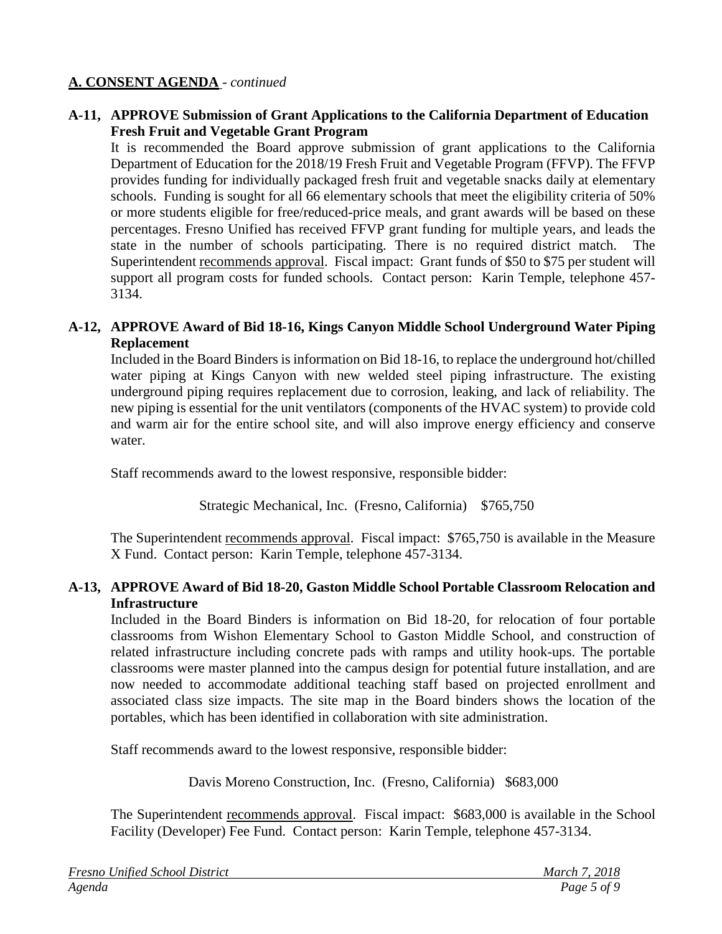### **A-11, APPROVE Submission of Grant Applications to the California Department of Education Fresh Fruit and Vegetable Grant Program**

It is recommended the Board approve submission of grant applications to the California Department of Education for the 2018/19 Fresh Fruit and Vegetable Program (FFVP). The FFVP provides funding for individually packaged fresh fruit and vegetable snacks daily at elementary schools. Funding is sought for all 66 elementary schools that meet the eligibility criteria of 50% or more students eligible for free/reduced-price meals, and grant awards will be based on these percentages. Fresno Unified has received FFVP grant funding for multiple years, and leads the state in the number of schools participating. There is no required district match. The Superintendent recommends approval. Fiscal impact: Grant funds of \$50 to \$75 per student will support all program costs for funded schools. Contact person: Karin Temple, telephone 457- 3134.

### **A-12, APPROVE Award of Bid 18-16, Kings Canyon Middle School Underground Water Piping Replacement**

Included in the Board Binders is information on Bid 18-16, to replace the underground hot/chilled water piping at Kings Canyon with new welded steel piping infrastructure. The existing underground piping requires replacement due to corrosion, leaking, and lack of reliability. The new piping is essential for the unit ventilators (components of the HVAC system) to provide cold and warm air for the entire school site, and will also improve energy efficiency and conserve water.

Staff recommends award to the lowest responsive, responsible bidder:

Strategic Mechanical, Inc. (Fresno, California) \$765,750

The Superintendent recommends approval. Fiscal impact: \$765,750 is available in the Measure X Fund. Contact person: Karin Temple, telephone 457-3134.

# **A-13, APPROVE Award of Bid 18-20, Gaston Middle School Portable Classroom Relocation and Infrastructure**

Included in the Board Binders is information on Bid 18-20, for relocation of four portable classrooms from Wishon Elementary School to Gaston Middle School, and construction of related infrastructure including concrete pads with ramps and utility hook-ups. The portable classrooms were master planned into the campus design for potential future installation, and are now needed to accommodate additional teaching staff based on projected enrollment and associated class size impacts. The site map in the Board binders shows the location of the portables, which has been identified in collaboration with site administration.

Staff recommends award to the lowest responsive, responsible bidder:

Davis Moreno Construction, Inc. (Fresno, California) \$683,000

The Superintendent recommends approval. Fiscal impact:\$683,000 is available in the School Facility (Developer) Fee Fund. Contact person: Karin Temple, telephone 457-3134.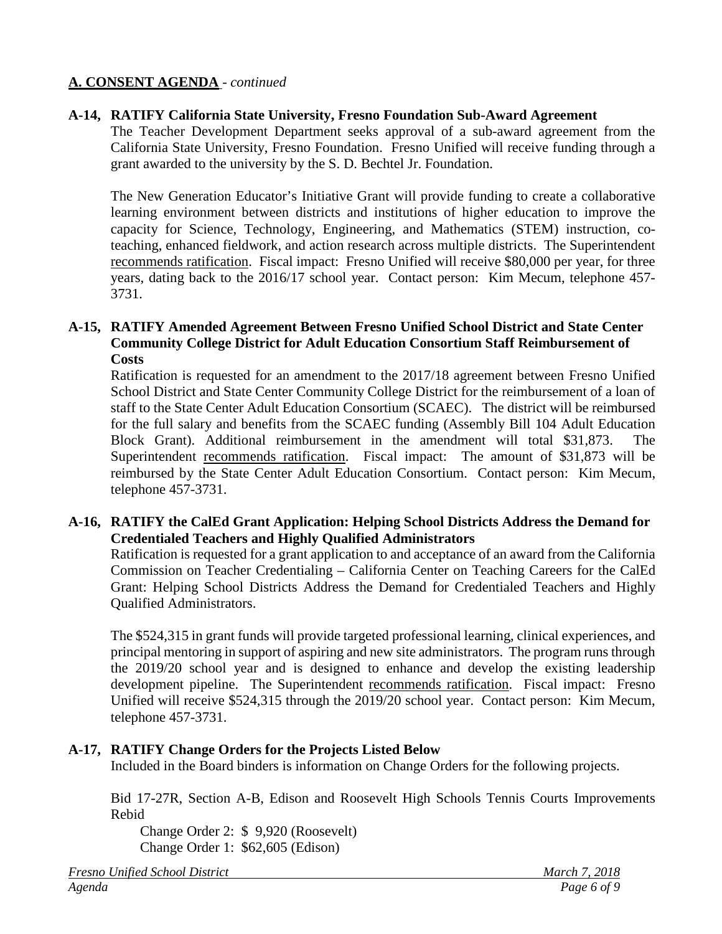#### **A-14, RATIFY California State University, Fresno Foundation Sub-Award Agreement**

The Teacher Development Department seeks approval of a sub-award agreement from the California State University, Fresno Foundation. Fresno Unified will receive funding through a grant awarded to the university by the S. D. Bechtel Jr. Foundation.

The New Generation Educator's Initiative Grant will provide funding to create a collaborative learning environment between districts and institutions of higher education to improve the capacity for Science, Technology, Engineering, and Mathematics (STEM) instruction, coteaching, enhanced fieldwork, and action research across multiple districts. The Superintendent recommends ratification. Fiscal impact: Fresno Unified will receive \$80,000 per year, for three years, dating back to the 2016/17 school year. Contact person: Kim Mecum, telephone 457- 3731.

#### **A-15, RATIFY Amended Agreement Between Fresno Unified School District and State Center Community College District for Adult Education Consortium Staff Reimbursement of Costs**

Ratification is requested for an amendment to the 2017/18 agreement between Fresno Unified School District and State Center Community College District for the reimbursement of a loan of staff to the State Center Adult Education Consortium (SCAEC). The district will be reimbursed for the full salary and benefits from the SCAEC funding (Assembly Bill 104 Adult Education Block Grant). Additional reimbursement in the amendment will total \$31,873. The Superintendent recommends ratification. Fiscal impact: The amount of \$31,873 will be reimbursed by the State Center Adult Education Consortium. Contact person: Kim Mecum, telephone 457-3731.

#### **A-16, RATIFY the CalEd Grant Application: Helping School Districts Address the Demand for Credentialed Teachers and Highly Qualified Administrators**

Ratification is requested for a grant application to and acceptance of an award from the California Commission on Teacher Credentialing – California Center on Teaching Careers for the CalEd Grant: Helping School Districts Address the Demand for Credentialed Teachers and Highly Qualified Administrators.

The \$524,315 in grant funds will provide targeted professional learning, clinical experiences, and principal mentoring in support of aspiring and new site administrators. The program runs through the 2019/20 school year and is designed to enhance and develop the existing leadership development pipeline. The Superintendent recommends ratification. Fiscal impact: Fresno Unified will receive \$524,315 through the 2019/20 school year. Contact person: Kim Mecum, telephone 457-3731.

#### **A-17, RATIFY Change Orders for the Projects Listed Below**

Included in the Board binders is information on Change Orders for the following projects.

Bid 17-27R, Section A-B, Edison and Roosevelt High Schools Tennis Courts Improvements Rebid

Change Order 2: \$ 9,920 (Roosevelt) Change Order 1: \$62,605 (Edison)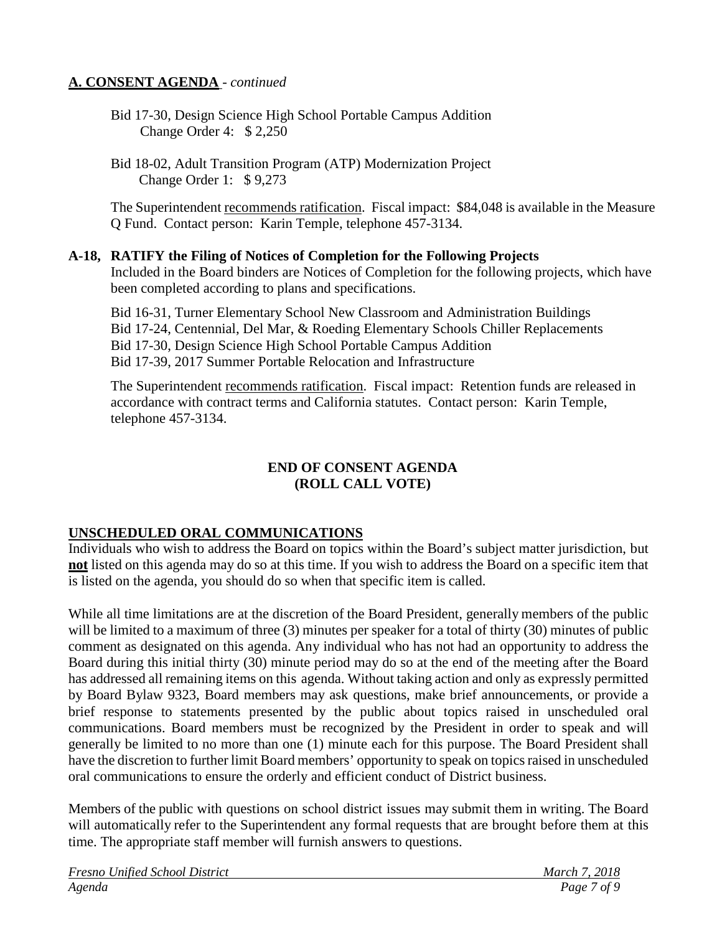- Bid 17-30, Design Science High School Portable Campus Addition Change Order 4: \$ 2,250
- Bid 18-02, Adult Transition Program (ATP) Modernization Project Change Order 1: \$ 9,273

The Superintendent recommends ratification. Fiscal impact: \$84,048 is available in the Measure Q Fund. Contact person: Karin Temple, telephone 457-3134.

#### **A-18, RATIFY the Filing of Notices of Completion for the Following Projects**

Included in the Board binders are Notices of Completion for the following projects, which have been completed according to plans and specifications.

Bid 16-31, Turner Elementary School New Classroom and Administration Buildings Bid 17-24, Centennial, Del Mar, & Roeding Elementary Schools Chiller Replacements Bid 17-30, Design Science High School Portable Campus Addition Bid 17-39, 2017 Summer Portable Relocation and Infrastructure

The Superintendent recommends ratification. Fiscal impact: Retention funds are released in accordance with contract terms and California statutes. Contact person: Karin Temple, telephone 457-3134.

#### **END OF CONSENT AGENDA (ROLL CALL VOTE)**

#### **UNSCHEDULED ORAL COMMUNICATIONS**

Individuals who wish to address the Board on topics within the Board's subject matter jurisdiction, but **not** listed on this agenda may do so at this time. If you wish to address the Board on a specific item that is listed on the agenda, you should do so when that specific item is called.

While all time limitations are at the discretion of the Board President, generally members of the public will be limited to a maximum of three (3) minutes per speaker for a total of thirty (30) minutes of public comment as designated on this agenda. Any individual who has not had an opportunity to address the Board during this initial thirty (30) minute period may do so at the end of the meeting after the Board has addressed all remaining items on this agenda. Without taking action and only as expressly permitted by Board Bylaw 9323, Board members may ask questions, make brief announcements, or provide a brief response to statements presented by the public about topics raised in unscheduled oral communications. Board members must be recognized by the President in order to speak and will generally be limited to no more than one (1) minute each for this purpose. The Board President shall have the discretion to further limit Board members' opportunity to speak on topics raised in unscheduled oral communications to ensure the orderly and efficient conduct of District business.

Members of the public with questions on school district issues may submit them in writing. The Board will automatically refer to the Superintendent any formal requests that are brought before them at this time. The appropriate staff member will furnish answers to questions.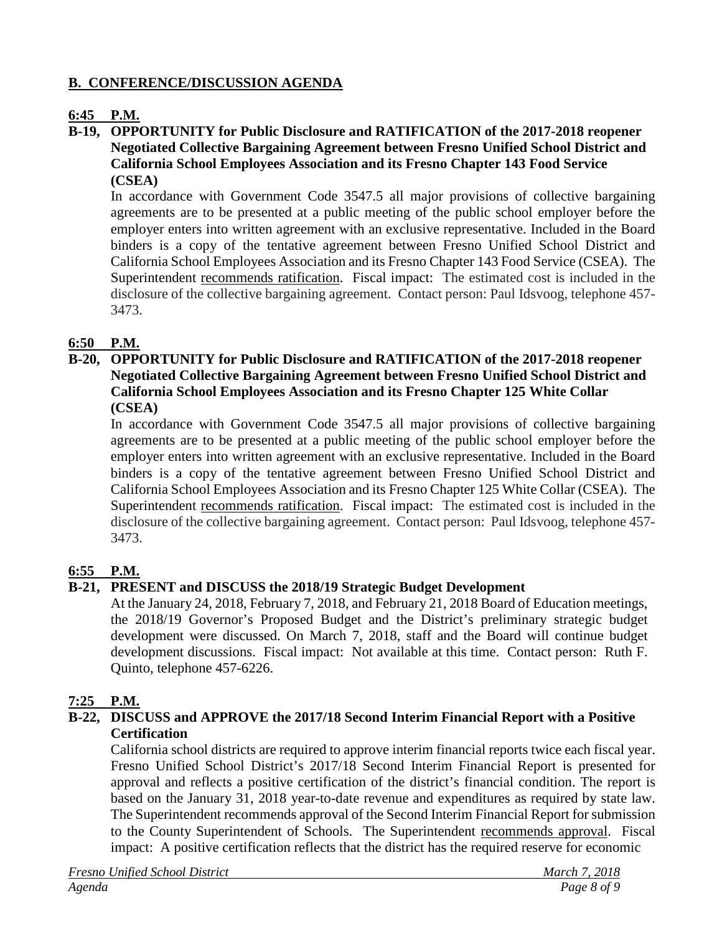# **B. CONFERENCE/DISCUSSION AGENDA**

# **6:45 P.M.**

**B-19, OPPORTUNITY for Public Disclosure and RATIFICATION of the 2017-2018 reopener Negotiated Collective Bargaining Agreement between Fresno Unified School District and California School Employees Association and its Fresno Chapter 143 Food Service (CSEA)**

In accordance with Government Code 3547.5 all major provisions of collective bargaining agreements are to be presented at a public meeting of the public school employer before the employer enters into written agreement with an exclusive representative. Included in the Board binders is a copy of the tentative agreement between Fresno Unified School District and California School Employees Association and its Fresno Chapter 143 Food Service (CSEA). The Superintendent recommends ratification. Fiscal impact: The estimated cost is included in the disclosure of the collective bargaining agreement. Contact person: Paul Idsvoog, telephone 457- 3473.

# **6:50 P.M.**

### **B-20, OPPORTUNITY for Public Disclosure and RATIFICATION of the 2017-2018 reopener Negotiated Collective Bargaining Agreement between Fresno Unified School District and California School Employees Association and its Fresno Chapter 125 White Collar (CSEA)**

In accordance with Government Code 3547.5 all major provisions of collective bargaining agreements are to be presented at a public meeting of the public school employer before the employer enters into written agreement with an exclusive representative. Included in the Board binders is a copy of the tentative agreement between Fresno Unified School District and California School Employees Association and its Fresno Chapter 125 White Collar (CSEA). The Superintendent recommends ratification. Fiscal impact: The estimated cost is included in the disclosure of the collective bargaining agreement. Contact person: Paul Idsvoog, telephone 457- 3473.

# **6:55 P.M.**

# **B-21, PRESENT and DISCUSS the 2018/19 Strategic Budget Development**

At the January 24, 2018, February 7, 2018, and February 21, 2018 Board of Education meetings, the 2018/19 Governor's Proposed Budget and the District's preliminary strategic budget development were discussed. On March 7, 2018, staff and the Board will continue budget development discussions. Fiscal impact: Not available at this time. Contact person: Ruth F. Quinto, telephone 457-6226.

# **7:25 P.M.**

### **B-22, DISCUSS and APPROVE the 2017/18 Second Interim Financial Report with a Positive Certification**

California school districts are required to approve interim financial reports twice each fiscal year. Fresno Unified School District's 2017/18 Second Interim Financial Report is presented for approval and reflects a positive certification of the district's financial condition. The report is based on the January 31, 2018 year-to-date revenue and expenditures as required by state law. The Superintendent recommends approval of the Second Interim Financial Report for submission to the County Superintendent of Schools. The Superintendent recommends approval. Fiscal impact: A positive certification reflects that the district has the required reserve for economic